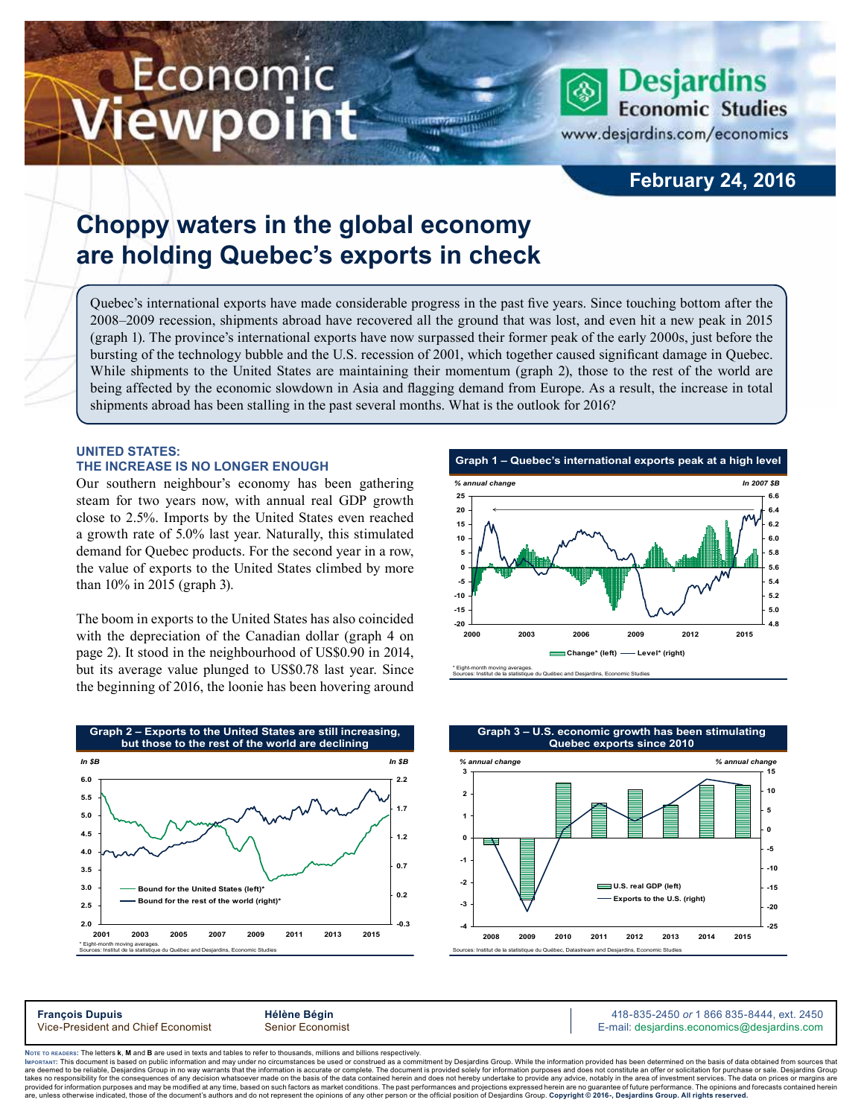# Economic iewpoint

### **February 24, 2016**

**Desjardins Economic Studies** 

www.desjardins.com/economics

## **Choppy waters in the global economy are holding Quebec's exports in check**

Quebec's international exports have made considerable progress in the past five years. Since touching bottom after the 2008–2009 recession, shipments abroad have recovered all the ground that was lost, and even hit a new peak in 2015 (graph 1). The province's international exports have now surpassed their former peak of the early 2000s, just before the bursting of the technology bubble and the U.S. recession of 2001, which together caused significant damage in Quebec. While shipments to the United States are maintaining their momentum (graph 2), those to the rest of the world are being affected by the economic slowdown in Asia and flagging demand from Europe. As a result, the increase in total shipments abroad has been stalling in the past several months. What is the outlook for 2016?

m

#### **UNITED STATES: the increase is no longer enough**

Our southern neighbour's economy has been gathering steam for two years now, with annual real GDP growth close to 2.5%. Imports by the United States even reached a growth rate of 5.0% last year. Naturally, this stimulated demand for Quebec products. For the second year in a row, the value of exports to the United States climbed by more than 10% in 2015 (graph 3).

The boom in exports to the United States has also coincided with the depreciation of the Canadian dollar (graph 4 on page 2). It stood in the neighbourhood of US\$0.90 in 2014, but its average value plunged to US\$0.78 last year. Since the beginning of 2016, the loonie has been hovering around







**François Dupuis**<br>
Vice-President and Chief Economist **Alternative Bégin** 418-835-2450 or 1 866 835-8444, ext. 2450<br>
Vice-President and Chief Economist Senior Economist **Alternative Community Community Community** E-mail: d E-mail: desjardins.economics@desjardins.com

Noте то келоекs: The letters **k, M** and **B** are used in texts and tables to refer to thousands, millions and billions respectively.<br>Імроктлит: This document is based on public information and may under no circumstances be are deemed to be reliable. Desiardins Group in no way warrants that the information is accurate or complete. The document is provided solely for information purposes and does not constitute an offer or solicitation for pur takes no responsibility for the consequences of any decision whatsoever made on the basis of the data contained herein and does not hereby undertake to provide any advice, notably in the area of investment services. The da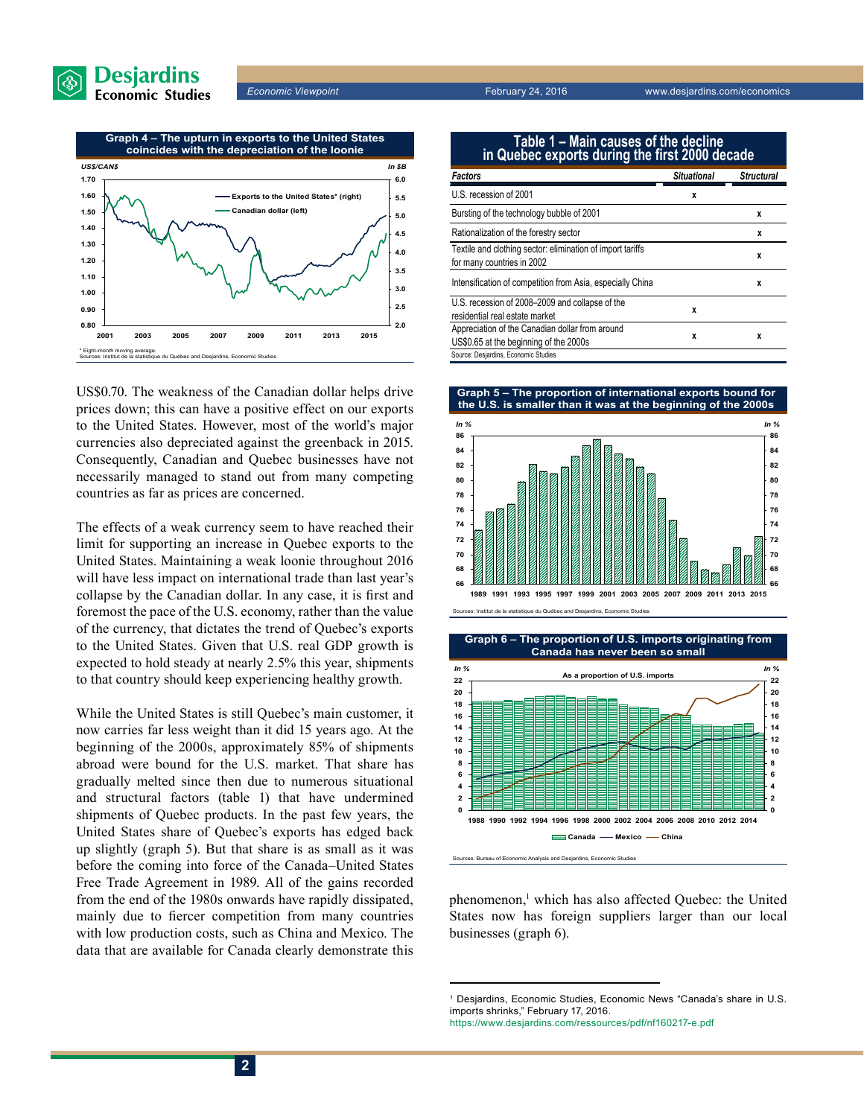



US\$0.70. The weakness of the Canadian dollar helps drive prices down; this can have a positive effect on our exports to the United States. However, most of the world's major currencies also depreciated against the greenback in 2015. Consequently, Canadian and Quebec businesses have not necessarily managed to stand out from many competing countries as far as prices are concerned.

The effects of a weak currency seem to have reached their limit for supporting an increase in Quebec exports to the United States. Maintaining a weak loonie throughout 2016 will have less impact on international trade than last year's collapse by the Canadian dollar. In any case, it is first and foremost the pace of the U.S. economy, rather than the value of the currency, that dictates the trend of Quebec's exports to the United States. Given that U.S. real GDP growth is expected to hold steady at nearly 2.5% this year, shipments to that country should keep experiencing healthy growth.

While the United States is still Quebec's main customer, it now carries far less weight than it did 15 years ago. At the beginning of the 2000s, approximately 85% of shipments abroad were bound for the U.S. market. That share has gradually melted since then due to numerous situational and structural factors (table 1) that have undermined shipments of Quebec products. In the past few years, the United States share of Quebec's exports has edged back up slightly (graph 5). But that share is as small as it was before the coming into force of the Canada–United States Free Trade Agreement in 1989. All of the gains recorded from the end of the 1980s onwards have rapidly dissipated, mainly due to fiercer competition from many countries with low production costs, such as China and Mexico. The data that are available for Canada clearly demonstrate this

| Table 1 – Main causes of the decline<br>in Quebec exports during the first 2000 decade    |                    |                   |
|-------------------------------------------------------------------------------------------|--------------------|-------------------|
| Factors                                                                                   | <b>Situational</b> | <b>Structural</b> |
| U.S. recession of 2001                                                                    | x                  |                   |
| Bursting of the technology bubble of 2001                                                 |                    | X                 |
| Rationalization of the forestry sector                                                    |                    | X                 |
| Textile and clothing sector: elimination of import tariffs<br>for many countries in 2002  |                    | X                 |
| Intensification of competition from Asia, especially China                                |                    | X                 |
| U.S. recession of 2008-2009 and collapse of the<br>residential real estate market         | x                  |                   |
| Appreciation of the Canadian dollar from around<br>US\$0.65 at the beginning of the 2000s | X                  | x                 |
| Source: Desjardins, Economic Studies                                                      |                    |                   |







phenomenon,<sup>1</sup> which has also affected Quebec: the United States now has foreign suppliers larger than our local businesses (graph 6).

<sup>1</sup> Desjardins, Economic Studies, Economic News "Canada's share in U.S. imports shrinks," February 17, 2016.

https://www.desjardins.com/ressources/pdf/nf160217-e.pdf